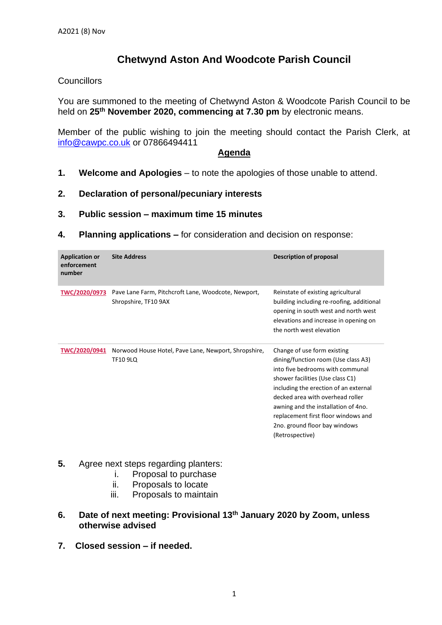## **Chetwynd Aston And Woodcote Parish Council**

## **Councillors**

You are summoned to the meeting of Chetwynd Aston & Woodcote Parish Council to be held on **25th November 2020, commencing at 7.30 pm** by electronic means.

Member of the public wishing to join the meeting should contact the Parish Clerk, at [info@cawpc.co.uk](mailto:info@cawpc.co.uk) or 07866494411

## **Agenda**

- **1. Welcome and Apologies** to note the apologies of those unable to attend.
- **2. Declaration of personal/pecuniary interests**
- **3. Public session – maximum time 15 minutes**
- **4. Planning applications –** for consideration and decision on response:

| <b>Application or</b><br>enforcement<br>number | <b>Site Address</b>                                                         | Description of proposal                                                                                                                                                                                                                                                                                                                                   |
|------------------------------------------------|-----------------------------------------------------------------------------|-----------------------------------------------------------------------------------------------------------------------------------------------------------------------------------------------------------------------------------------------------------------------------------------------------------------------------------------------------------|
| TWC/2020/0973                                  | Pave Lane Farm, Pitchcroft Lane, Woodcote, Newport,<br>Shropshire, TF10 9AX | Reinstate of existing agricultural<br>building including re-roofing, additional<br>opening in south west and north west<br>elevations and increase in opening on<br>the north west elevation                                                                                                                                                              |
| <b>TWC/2020/0941</b>                           | Norwood House Hotel, Pave Lane, Newport, Shropshire,<br><b>TF10 9LQ</b>     | Change of use form existing<br>dining/function room (Use class A3)<br>into five bedrooms with communal<br>shower facilities (Use class C1)<br>including the erection of an external<br>decked area with overhead roller<br>awning and the installation of 4no.<br>replacement first floor windows and<br>2no. ground floor bay windows<br>(Retrospective) |

- **5.** Agree next steps regarding planters:
	- i. Proposal to purchase
	- ii. Proposals to locate
	- iii. Proposals to maintain
- **6. Date of next meeting: Provisional 13 th January 2020 by Zoom, unless otherwise advised**
- **7. Closed session – if needed.**